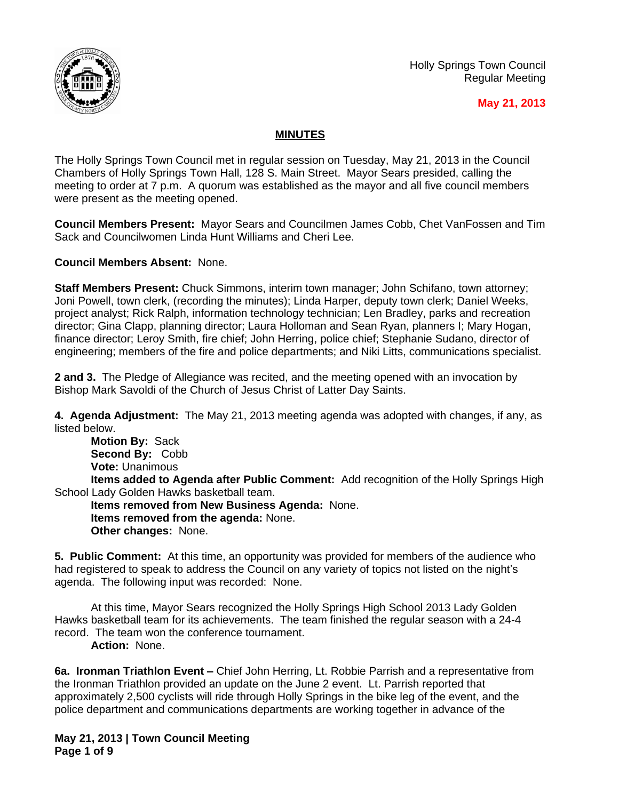

Holly Springs Town Council Regular Meeting

# **May 21, 2013**

# **MINUTES**

The Holly Springs Town Council met in regular session on Tuesday, May 21, 2013 in the Council Chambers of Holly Springs Town Hall, 128 S. Main Street. Mayor Sears presided, calling the meeting to order at 7 p.m. A quorum was established as the mayor and all five council members were present as the meeting opened.

**Council Members Present:** Mayor Sears and Councilmen James Cobb, Chet VanFossen and Tim Sack and Councilwomen Linda Hunt Williams and Cheri Lee.

**Council Members Absent:** None.

**Staff Members Present:** Chuck Simmons, interim town manager; John Schifano, town attorney; Joni Powell, town clerk, (recording the minutes); Linda Harper, deputy town clerk; Daniel Weeks, project analyst; Rick Ralph, information technology technician; Len Bradley, parks and recreation director; Gina Clapp, planning director; Laura Holloman and Sean Ryan, planners I; Mary Hogan, finance director; Leroy Smith, fire chief; John Herring, police chief; Stephanie Sudano, director of engineering; members of the fire and police departments; and Niki Litts, communications specialist.

**2 and 3.** The Pledge of Allegiance was recited, and the meeting opened with an invocation by Bishop Mark Savoldi of the Church of Jesus Christ of Latter Day Saints.

**4. Agenda Adjustment:** The May 21, 2013 meeting agenda was adopted with changes, if any, as listed below.

**Motion By:** Sack **Second By:** Cobb **Vote:** Unanimous

**Items added to Agenda after Public Comment:** Add recognition of the Holly Springs High School Lady Golden Hawks basketball team.

**Items removed from New Business Agenda:** None. **Items removed from the agenda:** None. **Other changes:** None.

**5. Public Comment:** At this time, an opportunity was provided for members of the audience who had registered to speak to address the Council on any variety of topics not listed on the night's agenda. The following input was recorded: None.

At this time, Mayor Sears recognized the Holly Springs High School 2013 Lady Golden Hawks basketball team for its achievements. The team finished the regular season with a 24-4 record. The team won the conference tournament.

**Action:** None.

**6a. Ironman Triathlon Event –** Chief John Herring, Lt. Robbie Parrish and a representative from the Ironman Triathlon provided an update on the June 2 event. Lt. Parrish reported that approximately 2,500 cyclists will ride through Holly Springs in the bike leg of the event, and the police department and communications departments are working together in advance of the

**May 21, 2013 | Town Council Meeting Page 1 of 9**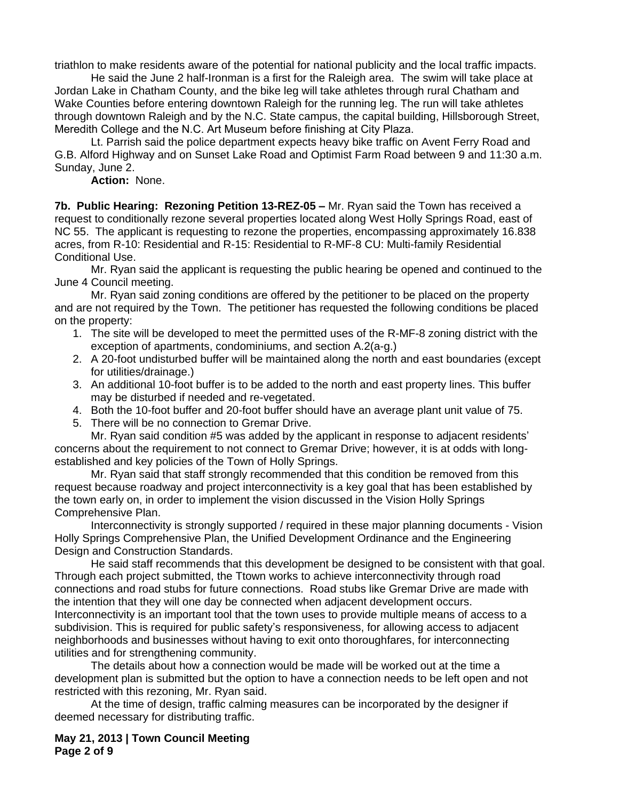triathlon to make residents aware of the potential for national publicity and the local traffic impacts.

He said the June 2 half-Ironman is a first for the Raleigh area. The swim will take place at Jordan Lake in Chatham County, and the bike leg will take athletes through rural Chatham and Wake Counties before entering downtown Raleigh for the running leg. The run will take athletes through downtown Raleigh and by the N.C. State campus, the capital building, Hillsborough Street, Meredith College and the N.C. Art Museum before finishing at City Plaza.

Lt. Parrish said the police department expects heavy bike traffic on Avent Ferry Road and G.B. Alford Highway and on Sunset Lake Road and Optimist Farm Road between 9 and 11:30 a.m. Sunday, June 2.

### **Action:** None.

**7b. Public Hearing: Rezoning Petition 13-REZ-05 –** Mr. Ryan said the Town has received a request to conditionally rezone several properties located along West Holly Springs Road, east of NC 55. The applicant is requesting to rezone the properties, encompassing approximately 16.838 acres, from R-10: Residential and R-15: Residential to R-MF-8 CU: Multi-family Residential Conditional Use.

Mr. Ryan said the applicant is requesting the public hearing be opened and continued to the June 4 Council meeting.

Mr. Ryan said zoning conditions are offered by the petitioner to be placed on the property and are not required by the Town. The petitioner has requested the following conditions be placed on the property:

- 1. The site will be developed to meet the permitted uses of the R-MF-8 zoning district with the exception of apartments, condominiums, and section A.2(a-g.)
- 2. A 20-foot undisturbed buffer will be maintained along the north and east boundaries (except for utilities/drainage.)
- 3. An additional 10-foot buffer is to be added to the north and east property lines. This buffer may be disturbed if needed and re-vegetated.
- 4. Both the 10-foot buffer and 20-foot buffer should have an average plant unit value of 75.
- 5. There will be no connection to Gremar Drive.

Mr. Ryan said condition #5 was added by the applicant in response to adjacent residents' concerns about the requirement to not connect to Gremar Drive; however, it is at odds with longestablished and key policies of the Town of Holly Springs.

Mr. Ryan said that staff strongly recommended that this condition be removed from this request because roadway and project interconnectivity is a key goal that has been established by the town early on, in order to implement the vision discussed in the Vision Holly Springs Comprehensive Plan.

Interconnectivity is strongly supported / required in these major planning documents - Vision Holly Springs Comprehensive Plan, the Unified Development Ordinance and the Engineering Design and Construction Standards.

He said staff recommends that this development be designed to be consistent with that goal. Through each project submitted, the Ttown works to achieve interconnectivity through road connections and road stubs for future connections. Road stubs like Gremar Drive are made with the intention that they will one day be connected when adjacent development occurs. Interconnectivity is an important tool that the town uses to provide multiple means of access to a subdivision. This is required for public safety's responsiveness, for allowing access to adjacent neighborhoods and businesses without having to exit onto thoroughfares, for interconnecting utilities and for strengthening community.

The details about how a connection would be made will be worked out at the time a development plan is submitted but the option to have a connection needs to be left open and not restricted with this rezoning, Mr. Ryan said.

At the time of design, traffic calming measures can be incorporated by the designer if deemed necessary for distributing traffic.

**May 21, 2013 | Town Council Meeting Page 2 of 9**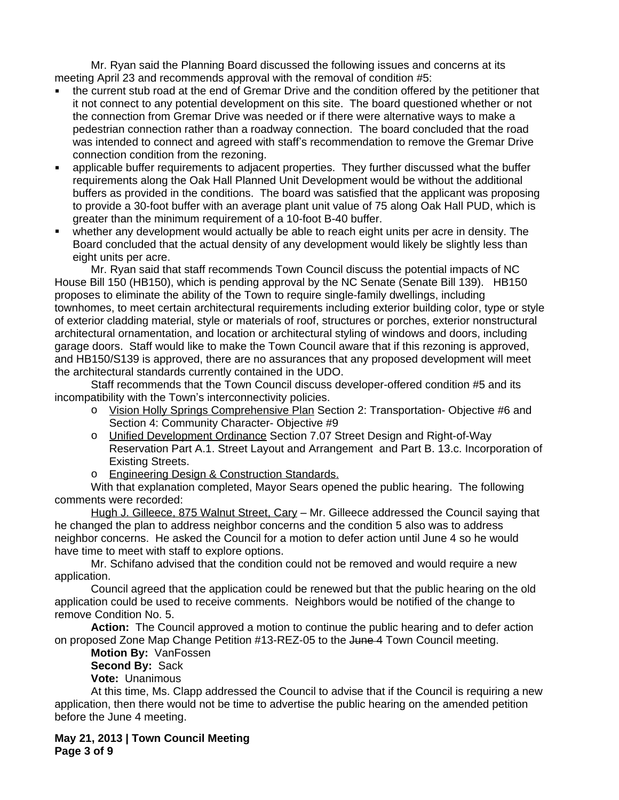Mr. Ryan said the Planning Board discussed the following issues and concerns at its meeting April 23 and recommends approval with the removal of condition #5:

- the current stub road at the end of Gremar Drive and the condition offered by the petitioner that it not connect to any potential development on this site. The board questioned whether or not the connection from Gremar Drive was needed or if there were alternative ways to make a pedestrian connection rather than a roadway connection. The board concluded that the road was intended to connect and agreed with staff's recommendation to remove the Gremar Drive connection condition from the rezoning.
- applicable buffer requirements to adjacent properties. They further discussed what the buffer requirements along the Oak Hall Planned Unit Development would be without the additional buffers as provided in the conditions. The board was satisfied that the applicant was proposing to provide a 30-foot buffer with an average plant unit value of 75 along Oak Hall PUD, which is greater than the minimum requirement of a 10-foot B-40 buffer.
- whether any development would actually be able to reach eight units per acre in density. The Board concluded that the actual density of any development would likely be slightly less than eight units per acre.

Mr. Ryan said that staff recommends Town Council discuss the potential impacts of NC House Bill 150 (HB150), which is pending approval by the NC Senate (Senate Bill 139). HB150 proposes to eliminate the ability of the Town to require single-family dwellings, including townhomes, to meet certain architectural requirements including exterior building color, type or style of exterior cladding material, style or materials of roof, structures or porches, exterior nonstructural architectural ornamentation, and location or architectural styling of windows and doors, including garage doors. Staff would like to make the Town Council aware that if this rezoning is approved, and HB150/S139 is approved, there are no assurances that any proposed development will meet the architectural standards currently contained in the UDO.

Staff recommends that the Town Council discuss developer-offered condition #5 and its incompatibility with the Town's interconnectivity policies.

- o Vision Holly Springs Comprehensive Plan Section 2: Transportation- Objective #6 and Section 4: Community Character- Objective #9
- o Unified Development Ordinance Section 7.07 Street Design and Right-of-Way Reservation Part A.1. Street Layout and Arrangement and Part B. 13.c. Incorporation of Existing Streets.
- o Engineering Design & Construction Standards.

With that explanation completed, Mayor Sears opened the public hearing. The following comments were recorded:

Hugh J. Gilleece, 875 Walnut Street, Cary - Mr. Gilleece addressed the Council saying that he changed the plan to address neighbor concerns and the condition 5 also was to address neighbor concerns. He asked the Council for a motion to defer action until June 4 so he would have time to meet with staff to explore options.

Mr. Schifano advised that the condition could not be removed and would require a new application.

Council agreed that the application could be renewed but that the public hearing on the old application could be used to receive comments. Neighbors would be notified of the change to remove Condition No. 5.

**Action:** The Council approved a motion to continue the public hearing and to defer action on proposed Zone Map Change Petition #13-REZ-05 to the June 4 Town Council meeting.

**Motion By:** VanFossen

**Second By:** Sack

**Vote:** Unanimous

At this time, Ms. Clapp addressed the Council to advise that if the Council is requiring a new application, then there would not be time to advertise the public hearing on the amended petition before the June 4 meeting.

**May 21, 2013 | Town Council Meeting Page 3 of 9**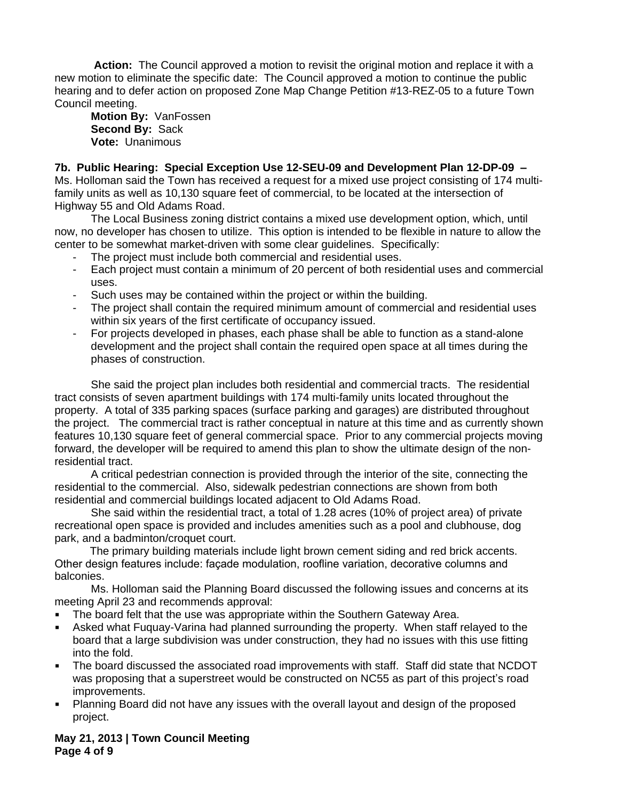**Action:** The Council approved a motion to revisit the original motion and replace it with a new motion to eliminate the specific date: The Council approved a motion to continue the public hearing and to defer action on proposed Zone Map Change Petition #13-REZ-05 to a future Town Council meeting.

**Motion By:** VanFossen **Second By:** Sack **Vote:** Unanimous

**7b. Public Hearing: Special Exception Use 12-SEU-09 and Development Plan 12-DP-09 –**

Ms. Holloman said the Town has received a request for a mixed use project consisting of 174 multifamily units as well as 10,130 square feet of commercial, to be located at the intersection of Highway 55 and Old Adams Road.

The Local Business zoning district contains a mixed use development option, which, until now, no developer has chosen to utilize. This option is intended to be flexible in nature to allow the center to be somewhat market-driven with some clear guidelines. Specifically:

- The project must include both commercial and residential uses.
- Each project must contain a minimum of 20 percent of both residential uses and commercial uses.
- Such uses may be contained within the project or within the building.
- The project shall contain the required minimum amount of commercial and residential uses within six years of the first certificate of occupancy issued.
- For projects developed in phases, each phase shall be able to function as a stand-alone development and the project shall contain the required open space at all times during the phases of construction.

She said the project plan includes both residential and commercial tracts. The residential tract consists of seven apartment buildings with 174 multi-family units located throughout the property. A total of 335 parking spaces (surface parking and garages) are distributed throughout the project. The commercial tract is rather conceptual in nature at this time and as currently shown features 10,130 square feet of general commercial space. Prior to any commercial projects moving forward, the developer will be required to amend this plan to show the ultimate design of the nonresidential tract.

A critical pedestrian connection is provided through the interior of the site, connecting the residential to the commercial. Also, sidewalk pedestrian connections are shown from both residential and commercial buildings located adjacent to Old Adams Road.

She said within the residential tract, a total of 1.28 acres (10% of project area) of private recreational open space is provided and includes amenities such as a pool and clubhouse, dog park, and a badminton/croquet court.

The primary building materials include light brown cement siding and red brick accents. Other design features include: façade modulation, roofline variation, decorative columns and balconies.

Ms. Holloman said the Planning Board discussed the following issues and concerns at its meeting April 23 and recommends approval:

- The board felt that the use was appropriate within the Southern Gateway Area.
- Asked what Fuquay-Varina had planned surrounding the property. When staff relayed to the board that a large subdivision was under construction, they had no issues with this use fitting into the fold.
- The board discussed the associated road improvements with staff. Staff did state that NCDOT was proposing that a superstreet would be constructed on NC55 as part of this project's road improvements.
- Planning Board did not have any issues with the overall layout and design of the proposed project.

**May 21, 2013 | Town Council Meeting Page 4 of 9**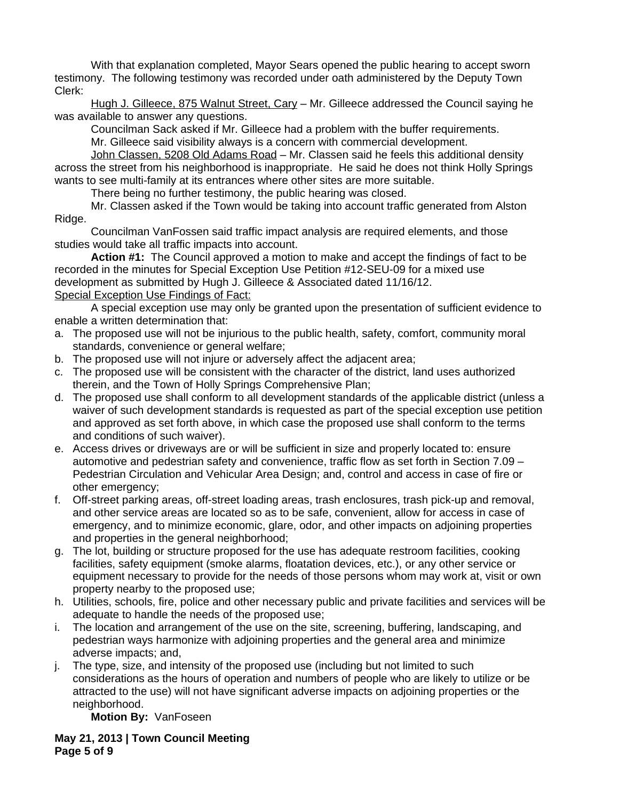With that explanation completed, Mayor Sears opened the public hearing to accept sworn testimony. The following testimony was recorded under oath administered by the Deputy Town Clerk:

Hugh J. Gilleece, 875 Walnut Street, Cary – Mr. Gilleece addressed the Council saying he was available to answer any questions.

Councilman Sack asked if Mr. Gilleece had a problem with the buffer requirements.

Mr. Gilleece said visibility always is a concern with commercial development.

John Classen, 5208 Old Adams Road - Mr. Classen said he feels this additional density across the street from his neighborhood is inappropriate. He said he does not think Holly Springs wants to see multi-family at its entrances where other sites are more suitable.

There being no further testimony, the public hearing was closed.

Mr. Classen asked if the Town would be taking into account traffic generated from Alston Ridge.

Councilman VanFossen said traffic impact analysis are required elements, and those studies would take all traffic impacts into account.

**Action #1:** The Council approved a motion to make and accept the findings of fact to be recorded in the minutes for Special Exception Use Petition #12-SEU-09 for a mixed use development as submitted by Hugh J. Gilleece & Associated dated 11/16/12. Special Exception Use Findings of Fact:

A special exception use may only be granted upon the presentation of sufficient evidence to enable a written determination that:

- a. The proposed use will not be injurious to the public health, safety, comfort, community moral standards, convenience or general welfare;
- b. The proposed use will not injure or adversely affect the adjacent area;
- c. The proposed use will be consistent with the character of the district, land uses authorized therein, and the Town of Holly Springs Comprehensive Plan;
- d. The proposed use shall conform to all development standards of the applicable district (unless a waiver of such development standards is requested as part of the special exception use petition and approved as set forth above, in which case the proposed use shall conform to the terms and conditions of such waiver).
- e. Access drives or driveways are or will be sufficient in size and properly located to: ensure automotive and pedestrian safety and convenience, traffic flow as set forth in Section 7.09 – Pedestrian Circulation and Vehicular Area Design; and, control and access in case of fire or other emergency;
- f. Off-street parking areas, off-street loading areas, trash enclosures, trash pick-up and removal, and other service areas are located so as to be safe, convenient, allow for access in case of emergency, and to minimize economic, glare, odor, and other impacts on adjoining properties and properties in the general neighborhood;
- g. The lot, building or structure proposed for the use has adequate restroom facilities, cooking facilities, safety equipment (smoke alarms, floatation devices, etc.), or any other service or equipment necessary to provide for the needs of those persons whom may work at, visit or own property nearby to the proposed use;
- h. Utilities, schools, fire, police and other necessary public and private facilities and services will be adequate to handle the needs of the proposed use;
- i. The location and arrangement of the use on the site, screening, buffering, landscaping, and pedestrian ways harmonize with adjoining properties and the general area and minimize adverse impacts; and,
- j. The type, size, and intensity of the proposed use (including but not limited to such considerations as the hours of operation and numbers of people who are likely to utilize or be attracted to the use) will not have significant adverse impacts on adjoining properties or the neighborhood.

**Motion By:** VanFoseen

**May 21, 2013 | Town Council Meeting Page 5 of 9**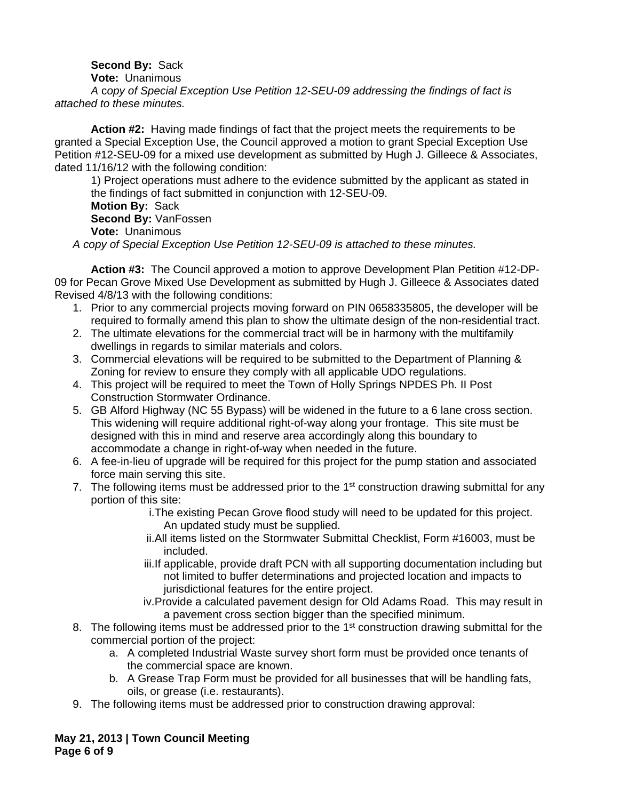# **Second By:** Sack

**Vote:** Unanimous

*A* c*opy of Special Exception Use Petition 12-SEU-09 addressing the findings of fact is attached to these minutes.*

**Action #2:** Having made findings of fact that the project meets the requirements to be granted a Special Exception Use, the Council approved a motion to grant Special Exception Use Petition #12-SEU-09 for a mixed use development as submitted by Hugh J. Gilleece & Associates, dated 11/16/12 with the following condition:

1) Project operations must adhere to the evidence submitted by the applicant as stated in the findings of fact submitted in conjunction with 12-SEU-09. **Motion By:** Sack **Second By:** VanFossen **Vote:** Unanimous *A copy of Special Exception Use Petition 12-SEU-09 is attached to these minutes.*

**Action #3:** The Council approved a motion to approve Development Plan Petition #12-DP-09 for Pecan Grove Mixed Use Development as submitted by Hugh J. Gilleece & Associates dated Revised 4/8/13 with the following conditions:

- 1. Prior to any commercial projects moving forward on PIN 0658335805, the developer will be required to formally amend this plan to show the ultimate design of the non-residential tract.
- 2. The ultimate elevations for the commercial tract will be in harmony with the multifamily dwellings in regards to similar materials and colors.
- 3. Commercial elevations will be required to be submitted to the Department of Planning & Zoning for review to ensure they comply with all applicable UDO regulations.
- 4. This project will be required to meet the Town of Holly Springs NPDES Ph. II Post Construction Stormwater Ordinance.
- 5. GB Alford Highway (NC 55 Bypass) will be widened in the future to a 6 lane cross section. This widening will require additional right-of-way along your frontage. This site must be designed with this in mind and reserve area accordingly along this boundary to accommodate a change in right-of-way when needed in the future.
- 6. A fee-in-lieu of upgrade will be required for this project for the pump station and associated force main serving this site.
- 7. The following items must be addressed prior to the  $1<sup>st</sup>$  construction drawing submittal for any portion of this site:
	- i.The existing Pecan Grove flood study will need to be updated for this project. An updated study must be supplied.
	- ii.All items listed on the Stormwater Submittal Checklist, Form #16003, must be included.
	- iii.If applicable, provide draft PCN with all supporting documentation including but not limited to buffer determinations and projected location and impacts to jurisdictional features for the entire project.
	- iv.Provide a calculated pavement design for Old Adams Road. This may result in a pavement cross section bigger than the specified minimum.
- 8. The following items must be addressed prior to the 1<sup>st</sup> construction drawing submittal for the commercial portion of the project:
	- a. A completed Industrial Waste survey short form must be provided once tenants of the commercial space are known.
	- b. A Grease Trap Form must be provided for all businesses that will be handling fats, oils, or grease (i.e. restaurants).
- 9. The following items must be addressed prior to construction drawing approval:

**May 21, 2013 | Town Council Meeting Page 6 of 9**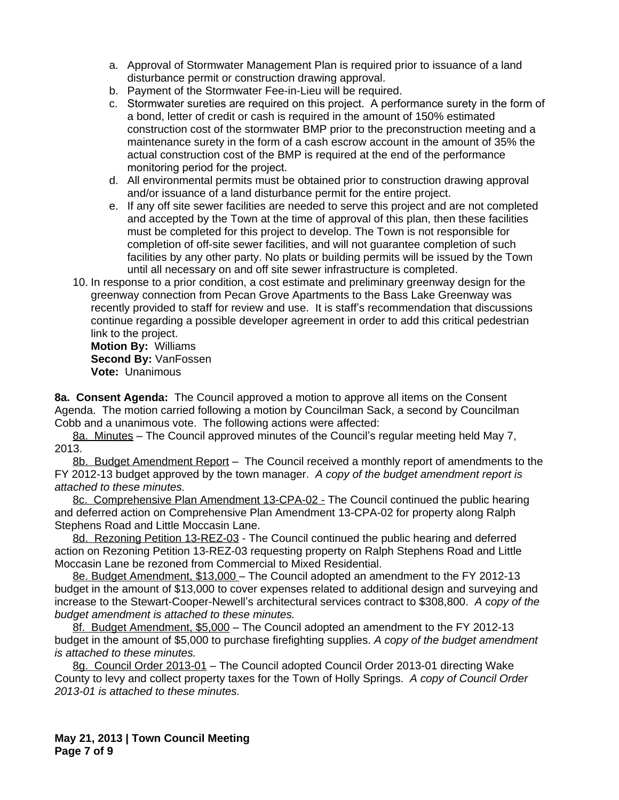- a. Approval of Stormwater Management Plan is required prior to issuance of a land disturbance permit or construction drawing approval.
- b. Payment of the Stormwater Fee-in-Lieu will be required.
- c. Stormwater sureties are required on this project. A performance surety in the form of a bond, letter of credit or cash is required in the amount of 150% estimated construction cost of the stormwater BMP prior to the preconstruction meeting and a maintenance surety in the form of a cash escrow account in the amount of 35% the actual construction cost of the BMP is required at the end of the performance monitoring period for the project.
- d. All environmental permits must be obtained prior to construction drawing approval and/or issuance of a land disturbance permit for the entire project.
- e. If any off site sewer facilities are needed to serve this project and are not completed and accepted by the Town at the time of approval of this plan, then these facilities must be completed for this project to develop. The Town is not responsible for completion of off-site sewer facilities, and will not guarantee completion of such facilities by any other party. No plats or building permits will be issued by the Town until all necessary on and off site sewer infrastructure is completed.
- 10. In response to a prior condition, a cost estimate and preliminary greenway design for the greenway connection from Pecan Grove Apartments to the Bass Lake Greenway was recently provided to staff for review and use. It is staff's recommendation that discussions continue regarding a possible developer agreement in order to add this critical pedestrian link to the project.

**Motion By:** Williams **Second By:** VanFossen **Vote:** Unanimous

**8a. Consent Agenda:** The Council approved a motion to approve all items on the Consent Agenda. The motion carried following a motion by Councilman Sack, a second by Councilman Cobb and a unanimous vote. The following actions were affected:

8a. Minutes – The Council approved minutes of the Council's regular meeting held May 7, 2013.

8b. Budget Amendment Report – The Council received a monthly report of amendments to the FY 2012-13 budget approved by the town manager. *A copy of the budget amendment report is attached to these minutes.*

8c. Comprehensive Plan Amendment 13-CPA-02 - The Council continued the public hearing and deferred action on Comprehensive Plan Amendment 13-CPA-02 for property along Ralph Stephens Road and Little Moccasin Lane.

8d. Rezoning Petition 13-REZ-03 - The Council continued the public hearing and deferred action on Rezoning Petition 13-REZ-03 requesting property on Ralph Stephens Road and Little Moccasin Lane be rezoned from Commercial to Mixed Residential.

8e. Budget Amendment, \$13,000 – The Council adopted an amendment to the FY 2012-13 budget in the amount of \$13,000 to cover expenses related to additional design and surveying and increase to the Stewart-Cooper-Newell's architectural services contract to \$308,800. *A copy of the budget amendment is attached to these minutes.*

8f. Budget Amendment, \$5,000 – The Council adopted an amendment to the FY 2012-13 budget in the amount of \$5,000 to purchase firefighting supplies. *A copy of the budget amendment is attached to these minutes.*

8g. Council Order 2013-01 – The Council adopted Council Order 2013-01 directing Wake County to levy and collect property taxes for the Town of Holly Springs. *A copy of Council Order 2013-01 is attached to these minutes.*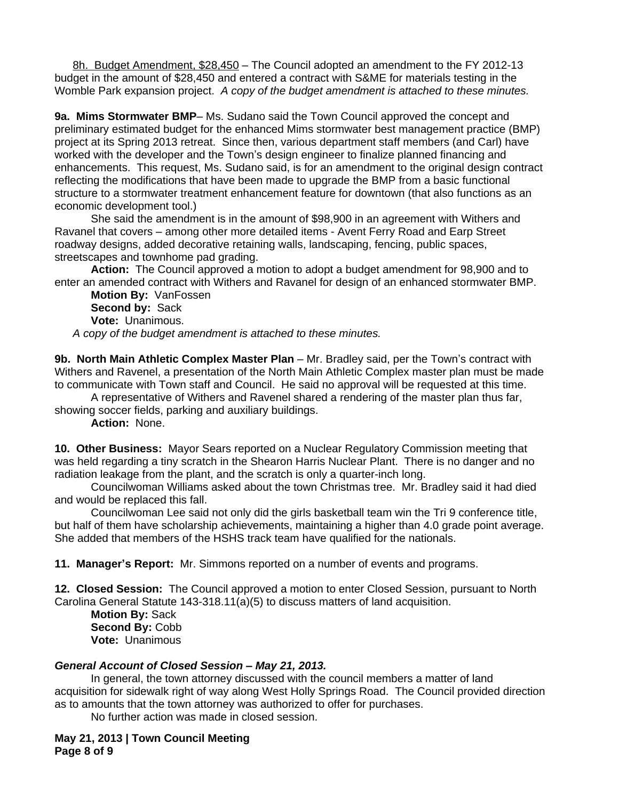8h. Budget Amendment, \$28,450 – The Council adopted an amendment to the FY 2012-13 budget in the amount of \$28,450 and entered a contract with S&ME for materials testing in the Womble Park expansion project. *A copy of the budget amendment is attached to these minutes.*

**9a. Mims Stormwater BMP**– Ms. Sudano said the Town Council approved the concept and preliminary estimated budget for the enhanced Mims stormwater best management practice (BMP) project at its Spring 2013 retreat. Since then, various department staff members (and Carl) have worked with the developer and the Town's design engineer to finalize planned financing and enhancements. This request, Ms. Sudano said, is for an amendment to the original design contract reflecting the modifications that have been made to upgrade the BMP from a basic functional structure to a stormwater treatment enhancement feature for downtown (that also functions as an economic development tool.)

She said the amendment is in the amount of \$98,900 in an agreement with Withers and Ravanel that covers – among other more detailed items - Avent Ferry Road and Earp Street roadway designs, added decorative retaining walls, landscaping, fencing, public spaces, streetscapes and townhome pad grading.

**Action:** The Council approved a motion to adopt a budget amendment for 98,900 and to enter an amended contract with Withers and Ravanel for design of an enhanced stormwater BMP.

**Motion By:** VanFossen **Second by:** Sack **Vote:** Unanimous.

*A copy of the budget amendment is attached to these minutes.*

**9b. North Main Athletic Complex Master Plan** – Mr. Bradley said, per the Town's contract with Withers and Ravenel, a presentation of the North Main Athletic Complex master plan must be made to communicate with Town staff and Council. He said no approval will be requested at this time.

A representative of Withers and Ravenel shared a rendering of the master plan thus far, showing soccer fields, parking and auxiliary buildings.

**Action:** None.

**10. Other Business:** Mayor Sears reported on a Nuclear Regulatory Commission meeting that was held regarding a tiny scratch in the Shearon Harris Nuclear Plant. There is no danger and no radiation leakage from the plant, and the scratch is only a quarter-inch long.

Councilwoman Williams asked about the town Christmas tree. Mr. Bradley said it had died and would be replaced this fall.

Councilwoman Lee said not only did the girls basketball team win the Tri 9 conference title, but half of them have scholarship achievements, maintaining a higher than 4.0 grade point average. She added that members of the HSHS track team have qualified for the nationals.

**11. Manager's Report:** Mr. Simmons reported on a number of events and programs.

**12. Closed Session:** The Council approved a motion to enter Closed Session, pursuant to North Carolina General Statute 143-318.11(a)(5) to discuss matters of land acquisition.

**Motion By:** Sack **Second By:** Cobb **Vote:** Unanimous

# *General Account of Closed Session – May 21, 2013.*

In general, the town attorney discussed with the council members a matter of land acquisition for sidewalk right of way along West Holly Springs Road. The Council provided direction as to amounts that the town attorney was authorized to offer for purchases.

No further action was made in closed session.

**May 21, 2013 | Town Council Meeting Page 8 of 9**